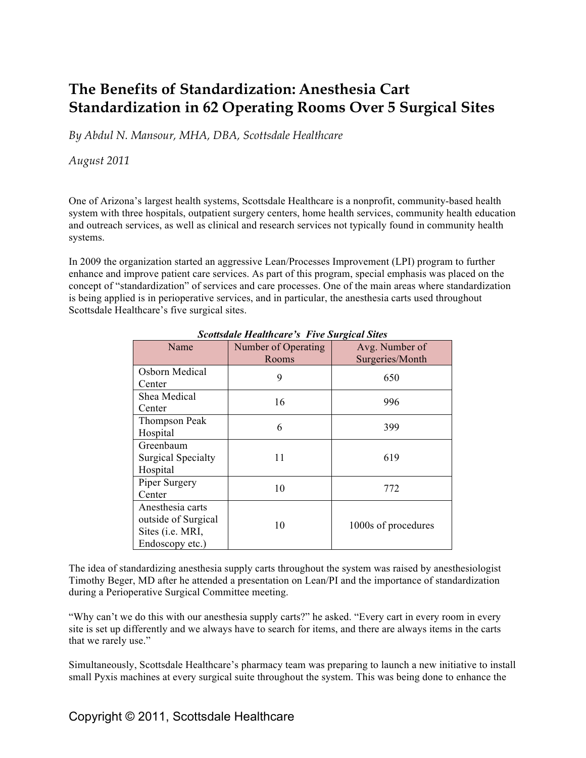# **The Benefits of Standardization: Anesthesia Cart Standardization in 62 Operating Rooms Over 5 Surgical Sites**

*By Abdul N. Mansour, MHA, DBA, Scottsdale Healthcare* 

*August 2011*

One of Arizona's largest health systems, Scottsdale Healthcare is a nonprofit, community-based health system with three hospitals, outpatient surgery centers, home health services, community health education and outreach services, as well as clinical and research services not typically found in community health systems.

In 2009 the organization started an aggressive Lean/Processes Improvement (LPI) program to further enhance and improve patient care services. As part of this program, special emphasis was placed on the concept of "standardization" of services and care processes. One of the main areas where standardization is being applied is in perioperative services, and in particular, the anesthesia carts used throughout Scottsdale Healthcare's five surgical sites.

| Name                                                                           | Number of Operating<br>Rooms | Avg. Number of<br>Surgeries/Month |
|--------------------------------------------------------------------------------|------------------------------|-----------------------------------|
| Osborn Medical<br>Center                                                       | 9                            | 650                               |
| Shea Medical<br>Center                                                         | 16                           | 996                               |
| Thompson Peak<br>Hospital                                                      | 6                            | 399                               |
| Greenbaum<br><b>Surgical Specialty</b><br>Hospital                             | 11                           | 619                               |
| Piper Surgery<br>Center                                                        | 10                           | 772                               |
| Anesthesia carts<br>outside of Surgical<br>Sites (i.e. MRI,<br>Endoscopy etc.) | 10                           | 1000s of procedures               |

*Scottsdale Healthcare's Five Surgical Sites*

The idea of standardizing anesthesia supply carts throughout the system was raised by anesthesiologist Timothy Beger, MD after he attended a presentation on Lean/PI and the importance of standardization during a Perioperative Surgical Committee meeting.

"Why can't we do this with our anesthesia supply carts?" he asked. "Every cart in every room in every site is set up differently and we always have to search for items, and there are always items in the carts that we rarely use."

Simultaneously, Scottsdale Healthcare's pharmacy team was preparing to launch a new initiative to install small Pyxis machines at every surgical suite throughout the system. This was being done to enhance the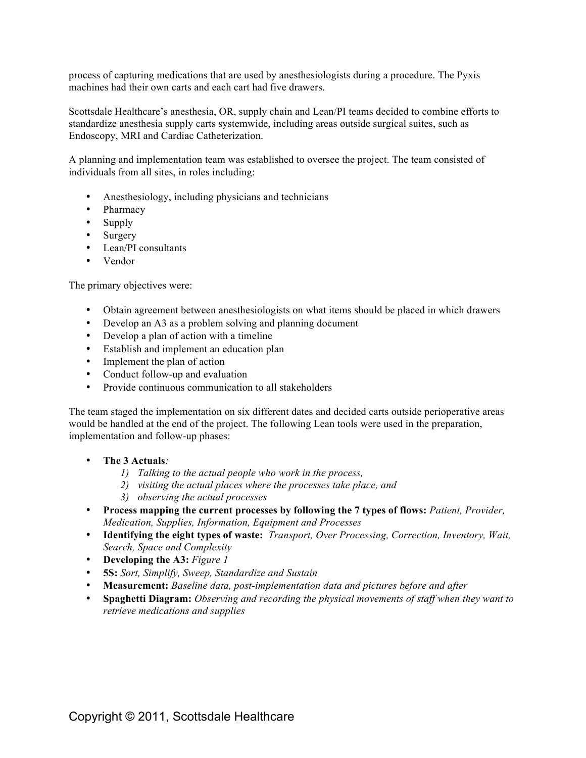process of capturing medications that are used by anesthesiologists during a procedure. The Pyxis machines had their own carts and each cart had five drawers.

Scottsdale Healthcare's anesthesia, OR, supply chain and Lean/PI teams decided to combine efforts to standardize anesthesia supply carts systemwide, including areas outside surgical suites, such as Endoscopy, MRI and Cardiac Catheterization.

A planning and implementation team was established to oversee the project. The team consisted of individuals from all sites, in roles including:

- Anesthesiology, including physicians and technicians
- Pharmacy
- Supply
- Surgery
- Lean/PI consultants
- Vendor

The primary objectives were:

- Obtain agreement between anesthesiologists on what items should be placed in which drawers
- Develop an A3 as a problem solving and planning document
- Develop a plan of action with a timeline
- Establish and implement an education plan
- Implement the plan of action
- Conduct follow-up and evaluation
- Provide continuous communication to all stakeholders

The team staged the implementation on six different dates and decided carts outside perioperative areas would be handled at the end of the project. The following Lean tools were used in the preparation, implementation and follow-up phases:

- **The 3 Actuals***:* 
	- *1) Talking to the actual people who work in the process,*
	- *2) visiting the actual places where the processes take place, and*
	- *3) observing the actual processes*
- Process mapping the current processes by following the 7 types of flows: Patient, Provider, *Medication, Supplies, Information, Equipment and Processes*
- **Identifying the eight types of waste:** *Transport, Over Processing, Correction, Inventory, Wait, Search, Space and Complexity*
- **Developing the A3:** *Figure 1*
- **5S:** *Sort, Simplify, Sweep, Standardize and Sustain*
- **Measurement:** *Baseline data, post-implementation data and pictures before and after*
- **Spaghetti Diagram:** *Observing and recording the physical movements of staff when they want to retrieve medications and supplies*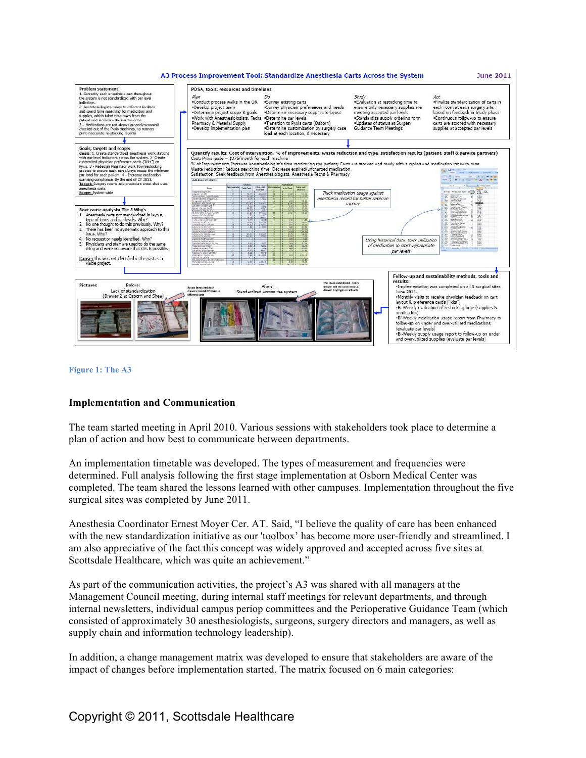



#### **Implementation and Communication**

The team started meeting in April 2010. Various sessions with stakeholders took place to determine a plan of action and how best to communicate between departments.

An implementation timetable was developed. The types of measurement and frequencies were determined. Full analysis following the first stage implementation at Osborn Medical Center was completed. The team shared the lessons learned with other campuses. Implementation throughout the five surgical sites was completed by June 2011.

Anesthesia Coordinator Ernest Moyer Cer. AT. Said, "I believe the quality of care has been enhanced with the new standardization initiative as our 'toolbox' has become more user-friendly and streamlined. I am also appreciative of the fact this concept was widely approved and accepted across five sites at Scottsdale Healthcare, which was quite an achievement."

As part of the communication activities, the project's A3 was shared with all managers at the Management Council meeting, during internal staff meetings for relevant departments, and through internal newsletters, individual campus periop committees and the Perioperative Guidance Team (which consisted of approximately 30 anesthesiologists, surgeons, surgery directors and managers, as well as supply chain and information technology leadership).

In addition, a change management matrix was developed to ensure that stakeholders are aware of the impact of changes before implementation started. The matrix focused on 6 main categories: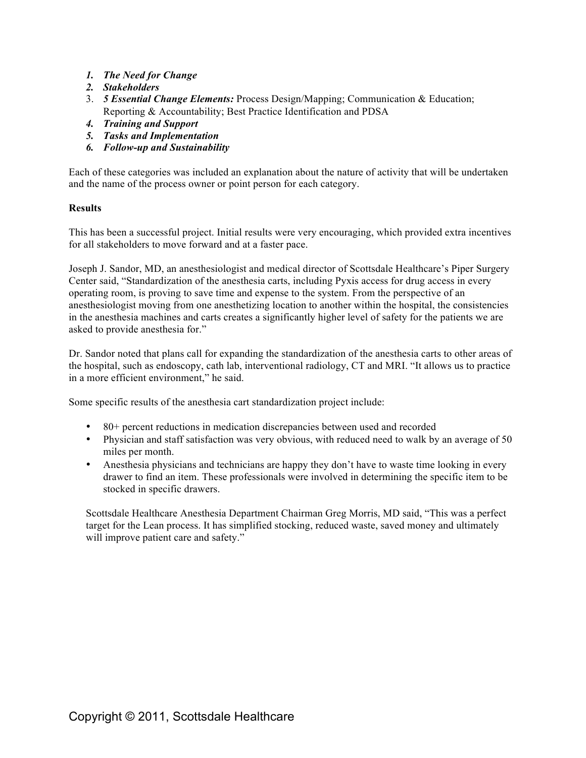- *1. The Need for Change*
- *2. Stakeholders*
- 3. *5 Essential Change Elements:* Process Design/Mapping; Communication & Education; Reporting & Accountability; Best Practice Identification and PDSA
- *4. Training and Support*
- *5. Tasks and Implementation*
- *6. Follow-up and Sustainability*

Each of these categories was included an explanation about the nature of activity that will be undertaken and the name of the process owner or point person for each category.

## **Results**

This has been a successful project. Initial results were very encouraging, which provided extra incentives for all stakeholders to move forward and at a faster pace.

Joseph J. Sandor, MD, an anesthesiologist and medical director of Scottsdale Healthcare's Piper Surgery Center said, "Standardization of the anesthesia carts, including Pyxis access for drug access in every operating room, is proving to save time and expense to the system. From the perspective of an anesthesiologist moving from one anesthetizing location to another within the hospital, the consistencies in the anesthesia machines and carts creates a significantly higher level of safety for the patients we are asked to provide anesthesia for."

Dr. Sandor noted that plans call for expanding the standardization of the anesthesia carts to other areas of the hospital, such as endoscopy, cath lab, interventional radiology, CT and MRI. "It allows us to practice in a more efficient environment," he said.

Some specific results of the anesthesia cart standardization project include:

- 80+ percent reductions in medication discrepancies between used and recorded
- Physician and staff satisfaction was very obvious, with reduced need to walk by an average of 50 miles per month.
- Anesthesia physicians and technicians are happy they don't have to waste time looking in every drawer to find an item. These professionals were involved in determining the specific item to be stocked in specific drawers.

Scottsdale Healthcare Anesthesia Department Chairman Greg Morris, MD said, "This was a perfect target for the Lean process. It has simplified stocking, reduced waste, saved money and ultimately will improve patient care and safety."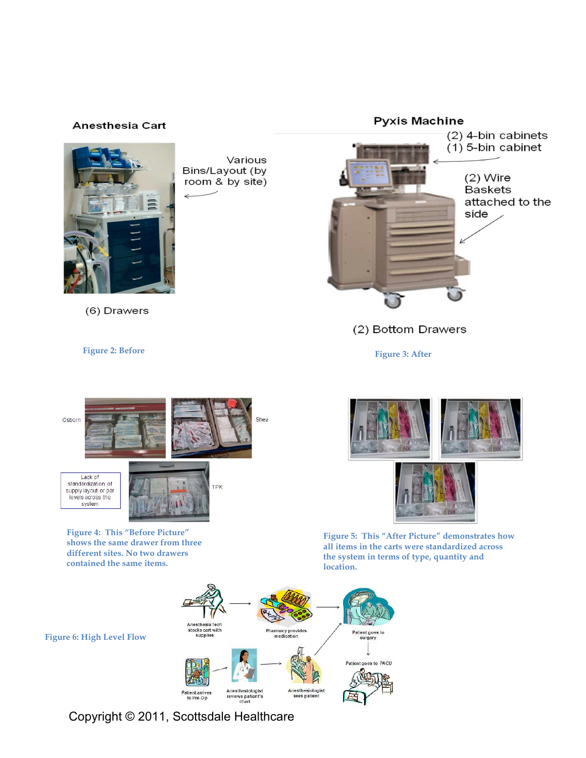

Copyright © 2011, Scottsdale Healthcare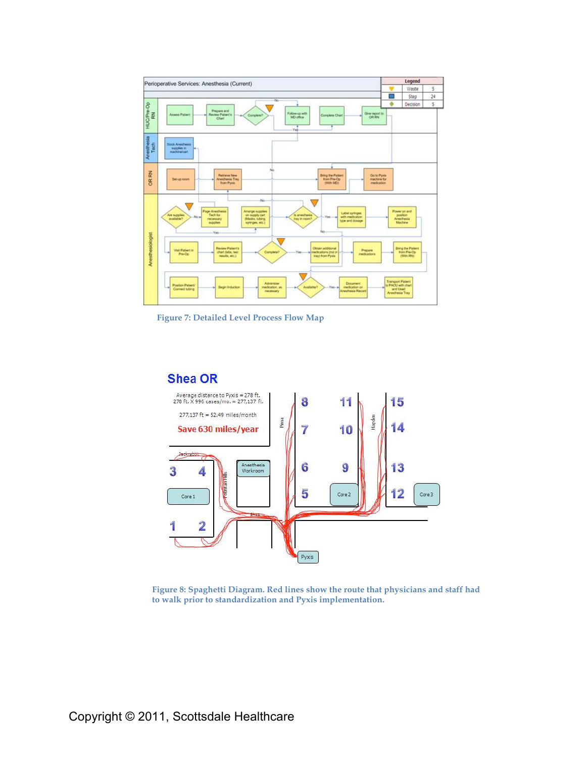

**Figure 7: Detailed Level Process Flow Map**



**Figure 8: Spaghetti Diagram. Red lines show the route that physicians and staff had to walk prior to standardization and Pyxis implementation.**